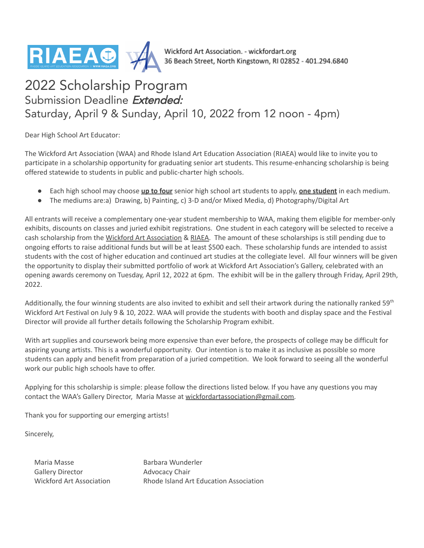

Wickford Art Association. - wickfordart.org<br>36 Beach Street, North Kingstown, RI 02852 - 401.294.6840

# 2022 Scholarship Program Submission Deadline Extended: Saturday, April 9 & Sunday, April 10, 2022 from 12 noon - 4pm)

Dear High School Art Educator:

The Wickford Art Association (WAA) and Rhode Island Art Education Association (RIAEA) would like to invite you to participate in a scholarship opportunity for graduating senior art students. This resume-enhancing scholarship is being offered statewide to students in public and public-charter high schools.

- Each high school may choose **up to four** senior high school art students to apply, **one student** in each medium.
- The mediums are:a) Drawing, b) Painting, c) 3-D and/or Mixed Media, d) Photography/Digital Art

All entrants will receive a complementary one-year student membership to WAA, making them eligible for member-only exhibits, discounts on classes and juried exhibit registrations. One student in each category will be selected to receive a cash scholarship from the Wickford Art [Association](http://www.wickfordart.org) & [RIAEA.](https://www.riaea.org/) The amount of these scholarships is still pending due to ongoing efforts to raise additional funds but will be at least \$500 each. These scholarship funds are intended to assist students with the cost of higher education and continued art studies at the collegiate level. All four winners will be given the opportunity to display their submitted portfolio of work at Wickford Art Association's Gallery, celebrated with an opening awards ceremony on Tuesday, April 12, 2022 at 6pm. The exhibit will be in the gallery through Friday, April 29th, 2022.

Additionally, the four winning students are also invited to exhibit and sell their artwork during the nationally ranked 59<sup>th</sup> Wickford Art Festival on July 9 & 10, 2022. WAA will provide the students with booth and display space and the Festival Director will provide all further details following the Scholarship Program exhibit.

With art supplies and coursework being more expensive than ever before, the prospects of college may be difficult for aspiring young artists. This is a wonderful opportunity. Our intention is to make it as inclusive as possible so more students can apply and benefit from preparation of a juried competition. We look forward to seeing all the wonderful work our public high schools have to offer.

Applying for this scholarship is simple: please follow the directions listed below. If you have any questions you may contact the WAA's Gallery Director, Maria Masse at [wickfordartassociation@gmail.com.](mailto:wickfordartassociation@gmail.com)

Thank you for supporting our emerging artists!

Sincerely,

Maria Masse Gallery Director

Barbara Wunderler Advocacy Chair Wickford Art Association Rhode Island Art Education Association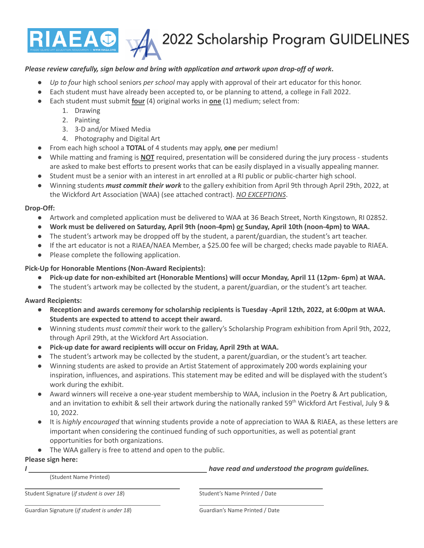

#### *Please review carefully, sign below and bring with application and artwork upon drop-off of work***.**

- *Up to four* high school seniors *per school* may apply with approval of their art educator for this honor.
- Each student must have already been accepted to, or be planning to attend, a college in Fall 2022.
- Each student must submit **four** (4) original works in **one** (1) medium; select from:
	- 1. Drawing
		- 2. Painting
		- 3. 3-D and/or Mixed Media
		- 4. Photography and Digital Art
- From each high school a **TOTAL** of 4 students may apply, **one** per medium!
- While matting and framing is **NOT** required, presentation will be considered during the jury process students are asked to make best efforts to present works that can be easily displayed in a visually appealing manner.
- Student must be a senior with an interest in art enrolled at a RI public or public-charter high school.
- Winning students *must commit their work* to the gallery exhibition from April 9th through April 29th, 2022, at the Wickford Art Association (WAA) (see attached contract). *NO EXCEPTIONS*.

## **Drop-Off:**

- **●** Artwork and completed application must be delivered to WAA at 36 Beach Street, North Kingstown, RI 02852.
- **● Work must be delivered on Saturday, April 9th (noon-4pm) or Sunday, April 10th (noon-4pm) to WAA.**
- The student's artwork may be dropped off by the student, a parent/guardian, the student's art teacher.
- If the art educator is not a RIAEA/NAEA Member, a \$25.00 fee will be charged; checks made payable to RIAEA.
- Please complete the following application.

## **Pick-Up for Honorable Mentions (Non-Award Recipients):**

- **Pick-up date for non-exhibited art (Honorable Mentions) will occur Monday, April 11 (12pm- 6pm) at WAA.**
- The student's artwork may be collected by the student, a parent/guardian, or the student's art teacher.

# **Award Recipients:**

- Reception and awards ceremony for scholarship recipients is Tuesday -April 12th, 2022, at 6:00pm at WAA. **Students are expected to attend to accept their award.**
- Winning students *must commit* their work to the gallery's Scholarship Program exhibition from April 9th, 2022, through April 29th, at the Wickford Art Association.
- **● Pick-up date for award recipients will occur on Friday, April 29th at WAA.**
- The student's artwork may be collected by the student, a parent/guardian, or the student's art teacher.
- Winning students are asked to provide an Artist Statement of approximately 200 words explaining your inspiration, influences, and aspirations. This statement may be edited and will be displayed with the student's work during the exhibit.
- Award winners will receive a one-year student membership to WAA, inclusion in the Poetry & Art publication, and an invitation to exhibit & sell their artwork during the nationally ranked 59<sup>th</sup> Wickford Art Festival, July 9 & 10, 2022.
- It is *highly encouraged* that winning students provide a note of appreciation to WAA & RIAEA, as these letters are important when considering the continued funding of such opportunities, as well as potential grant opportunities for both organizations.
- The WAA gallery is free to attend and open to the public.

## **Please sign here:**

(Student Name Printed)

*I have read and understood the program guidelines.*

Student Signature (*if student is over 18*) Student's Name Printed / Date

Guardian Signature (*if student is under 18*) Guardian's Name Printed / Date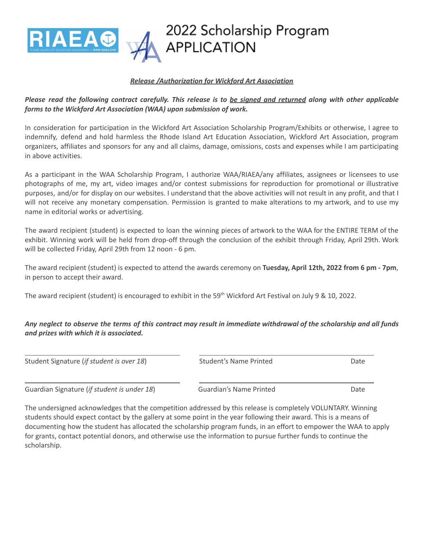

#### *Release /Authorization for Wickford Art Association*

# Please read the following contract carefully. This release is to be signed and returned along with other applicable *forms to the Wickford Art Association (WAA) upon submission of work.*

In consideration for participation in the Wickford Art Association Scholarship Program/Exhibits or otherwise, I agree to indemnify, defend and hold harmless the Rhode Island Art Education Association, Wickford Art Association, program organizers, affiliates and sponsors for any and all claims, damage, omissions, costs and expenses while I am participating in above activities.

As a participant in the WAA Scholarship Program, I authorize WAA/RIAEA/any affiliates, assignees or licensees to use photographs of me, my art, video images and/or contest submissions for reproduction for promotional or illustrative purposes, and/or for display on our websites. I understand that the above activities will not result in any profit, and that I will not receive any monetary compensation. Permission is granted to make alterations to my artwork, and to use my name in editorial works or advertising.

The award recipient (student) is expected to loan the winning pieces of artwork to the WAA for the ENTIRE TERM of the exhibit. Winning work will be held from drop-off through the conclusion of the exhibit through Friday, April 29th. Work will be collected Friday, April 29th from 12 noon - 6 pm.

The award recipient (student) is expected to attend the awards ceremony on **Tuesday, April 12th, 2022 from 6 pm - 7pm**, in person to accept their award.

The award recipient (student) is encouraged to exhibit in the 59<sup>th</sup> Wickford Art Festival on July 9 & 10, 2022.

## Any neglect to observe the terms of this contract may result in immediate withdrawal of the scholarship and all funds *and prizes with which it is associated.*

Student Signature (*if student is over 18*) Student's Name Printed Date

Guardian Signature (*if student is under 18*) Guardian's Name Printed Date

The undersigned acknowledges that the competition addressed by this release is completely VOLUNTARY. Winning students should expect contact by the gallery at some point in the year following their award. This is a means of documenting how the student has allocated the scholarship program funds, in an effort to empower the WAA to apply for grants, contact potential donors, and otherwise use the information to pursue further funds to continue the scholarship.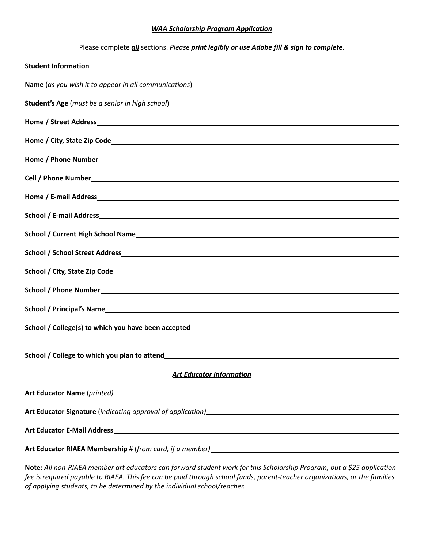#### *WAA Scholarship Program Application*

Please complete *all* sections. *Please print legibly or use Adobe fill & sign to complete*.

| <b>Student Information</b>                                                                                                                                                                                                                                                                                      |
|-----------------------------------------------------------------------------------------------------------------------------------------------------------------------------------------------------------------------------------------------------------------------------------------------------------------|
|                                                                                                                                                                                                                                                                                                                 |
|                                                                                                                                                                                                                                                                                                                 |
|                                                                                                                                                                                                                                                                                                                 |
|                                                                                                                                                                                                                                                                                                                 |
|                                                                                                                                                                                                                                                                                                                 |
|                                                                                                                                                                                                                                                                                                                 |
|                                                                                                                                                                                                                                                                                                                 |
|                                                                                                                                                                                                                                                                                                                 |
|                                                                                                                                                                                                                                                                                                                 |
|                                                                                                                                                                                                                                                                                                                 |
|                                                                                                                                                                                                                                                                                                                 |
|                                                                                                                                                                                                                                                                                                                 |
|                                                                                                                                                                                                                                                                                                                 |
|                                                                                                                                                                                                                                                                                                                 |
|                                                                                                                                                                                                                                                                                                                 |
| <b>Art Educator Information</b>                                                                                                                                                                                                                                                                                 |
|                                                                                                                                                                                                                                                                                                                 |
|                                                                                                                                                                                                                                                                                                                 |
|                                                                                                                                                                                                                                                                                                                 |
|                                                                                                                                                                                                                                                                                                                 |
| $\mathbf{u}$ , $\mathbf{u}$ , $\mathbf{v}$ , $\mathbf{u}$ , $\mathbf{v}$ , $\mathbf{v}$ , $\mathbf{v}$ , $\mathbf{v}$ , $\mathbf{v}$ , $\mathbf{v}$ , $\mathbf{v}$ , $\mathbf{v}$ , $\mathbf{v}$ , $\mathbf{v}$ , $\mathbf{v}$ , $\mathbf{v}$ , $\mathbf{v}$ , $\mathbf{v}$ , $\mathbf{v}$ , $\mathbf{v}$ , $\$ |

Note: All non-RIAEA member art educators can forward student work for this Scholarship Program, but a \$25 application fee is required payable to RIAEA. This fee can be paid through school funds, parent-teacher organizations, or the families *of applying students, to be determined by the individual school/teacher.*